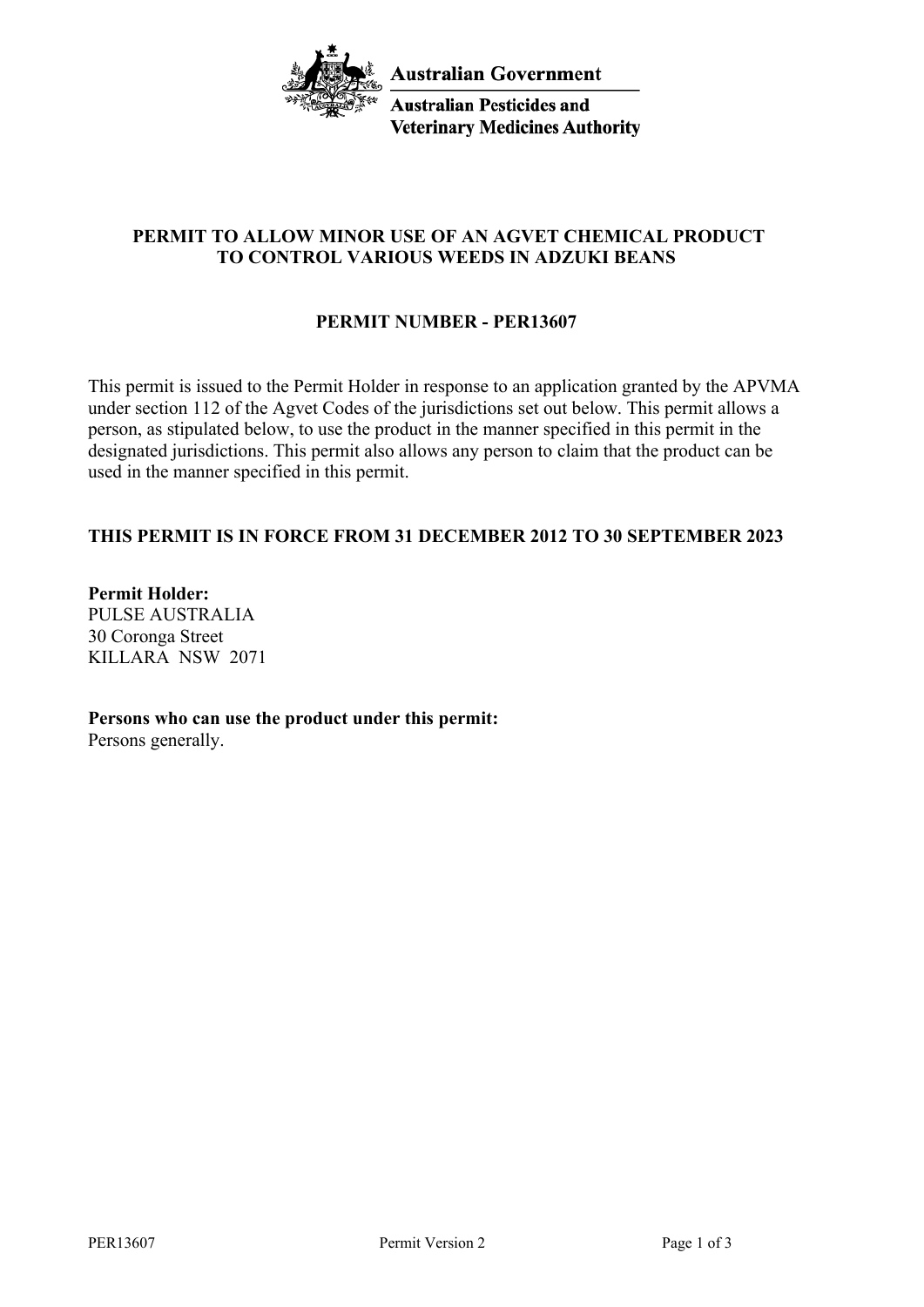

**Australian Pesticides and Veterinary Medicines Authority** 

# **PERMIT TO ALLOW MINOR USE OF AN AGVET CHEMICAL PRODUCT TO CONTROL VARIOUS WEEDS IN ADZUKI BEANS**

# **PERMIT NUMBER - PER13607**

This permit is issued to the Permit Holder in response to an application granted by the APVMA under section 112 of the Agvet Codes of the jurisdictions set out below. This permit allows a person, as stipulated below, to use the product in the manner specified in this permit in the designated jurisdictions. This permit also allows any person to claim that the product can be used in the manner specified in this permit.

# **THIS PERMIT IS IN FORCE FROM 31 DECEMBER 2012 TO 30 SEPTEMBER 2023**

**Permit Holder:** PULSE AUSTRALIA 30 Coronga Street KILLARA NSW 2071

**Persons who can use the product under this permit:** Persons generally.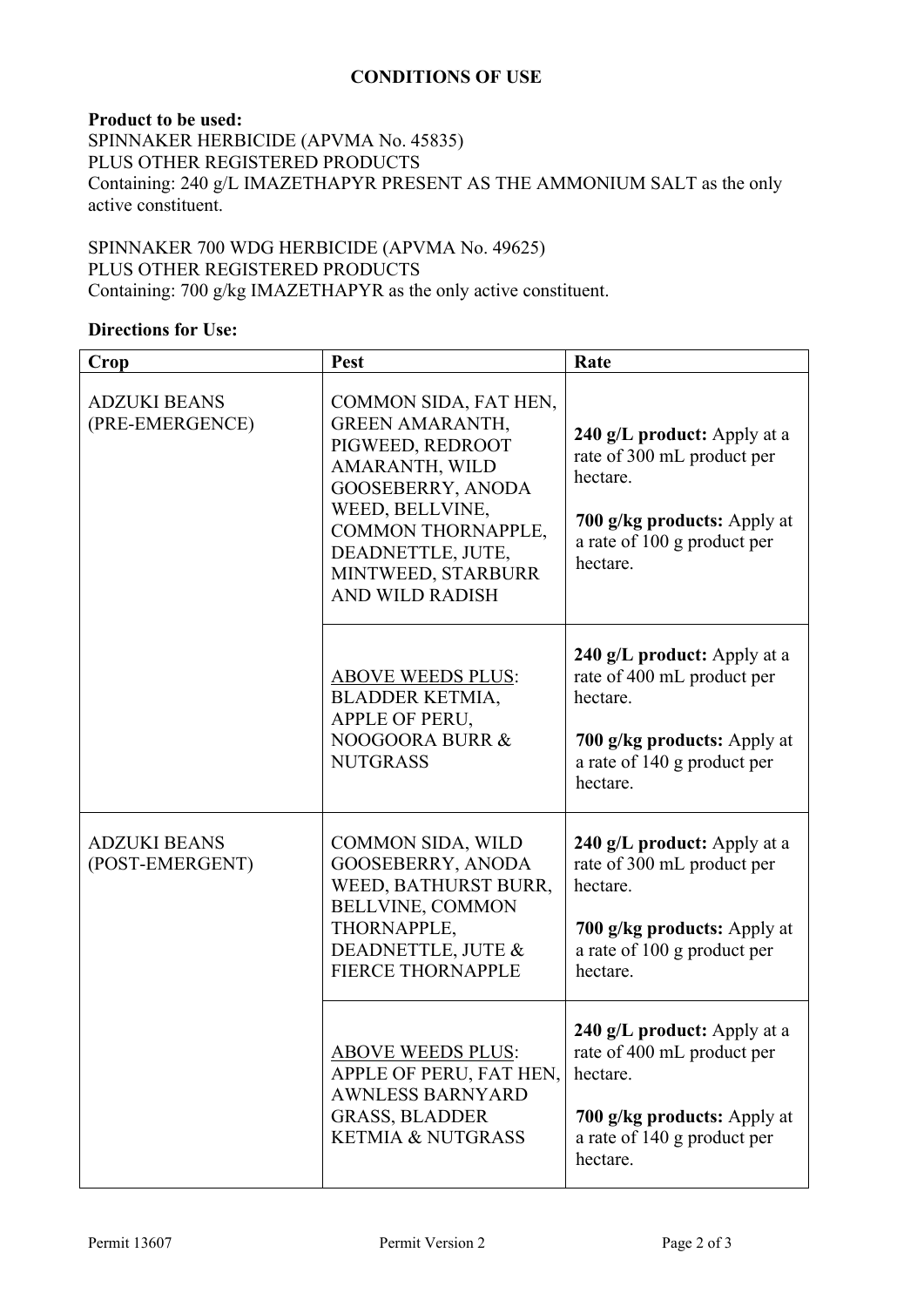## **CONDITIONS OF USE**

## **Product to be used:** SPINNAKER HERBICIDE (APVMA No. 45835) PLUS OTHER REGISTERED PRODUCTS Containing: 240 g/L IMAZETHAPYR PRESENT AS THE AMMONIUM SALT as the only active constituent.

## SPINNAKER 700 WDG HERBICIDE (APVMA No. 49625) PLUS OTHER REGISTERED PRODUCTS Containing: 700 g/kg IMAZETHAPYR as the only active constituent.

## **Directions for Use:**

| Crop                                   | Pest                                                                                                                                                                                                                                   | Rate                                                                                                                                            |
|----------------------------------------|----------------------------------------------------------------------------------------------------------------------------------------------------------------------------------------------------------------------------------------|-------------------------------------------------------------------------------------------------------------------------------------------------|
| <b>ADZUKI BEANS</b><br>(PRE-EMERGENCE) | COMMON SIDA, FAT HEN,<br><b>GREEN AMARANTH,</b><br>PIGWEED, REDROOT<br>AMARANTH, WILD<br><b>GOOSEBERRY, ANODA</b><br>WEED, BELLVINE,<br><b>COMMON THORNAPPLE,</b><br>DEADNETTLE, JUTE,<br>MINTWEED, STARBURR<br><b>AND WILD RADISH</b> | 240 g/L product: Apply at a<br>rate of 300 mL product per<br>hectare.<br>700 g/kg products: Apply at<br>a rate of 100 g product per<br>hectare. |
|                                        | <b>ABOVE WEEDS PLUS:</b><br>BLADDER KETMIA,<br>APPLE OF PERU,<br>NOOGOORA BURR &<br><b>NUTGRASS</b>                                                                                                                                    | 240 g/L product: Apply at a<br>rate of 400 mL product per<br>hectare.<br>700 g/kg products: Apply at<br>a rate of 140 g product per<br>hectare. |
| <b>ADZUKI BEANS</b><br>(POST-EMERGENT) | <b>COMMON SIDA, WILD</b><br><b>GOOSEBERRY, ANODA</b><br>WEED, BATHURST BURR,<br>BELLVINE, COMMON<br>THORNAPPLE,<br>DEADNETTLE, JUTE &<br><b>FIERCE THORNAPPLE</b>                                                                      | 240 g/L product: Apply at a<br>rate of 300 mL product per<br>hectare.<br>700 g/kg products: Apply at<br>a rate of 100 g product per<br>hectare. |
|                                        | <b>ABOVE WEEDS PLUS:</b><br>APPLE OF PERU, FAT HEN,<br><b>AWNLESS BARNYARD</b><br><b>GRASS, BLADDER</b><br><b>KETMIA &amp; NUTGRASS</b>                                                                                                | 240 g/L product: Apply at a<br>rate of 400 mL product per<br>hectare.<br>700 g/kg products: Apply at<br>a rate of 140 g product per<br>hectare. |